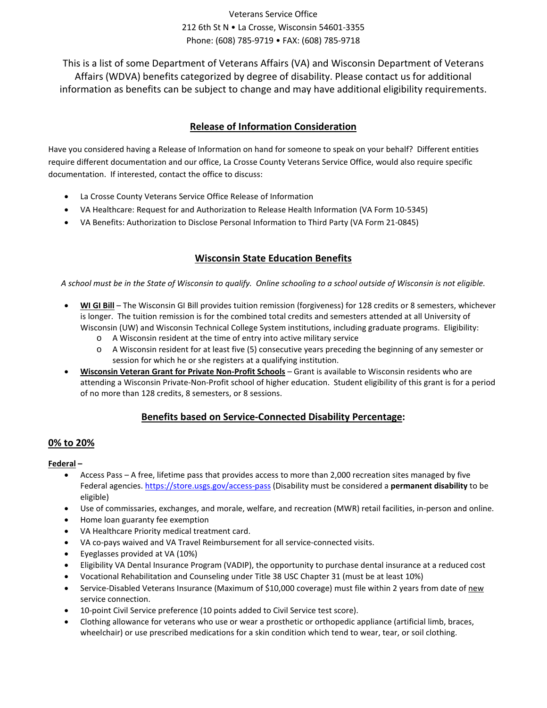# Veterans Service Office 212 6th St N • La Crosse, Wisconsin 54601-3355 Phone: (608) 785-9719 • FAX: (608) 785-9718

This is a list of some Department of Veterans Affairs (VA) and Wisconsin Department of Veterans Affairs (WDVA) benefits categorized by degree of disability. Please contact us for additional information as benefits can be subject to change and may have additional eligibility requirements.

# **Release of Information Consideration**

Have you considered having a Release of Information on hand for someone to speak on your behalf? Different entities require different documentation and our office, La Crosse County Veterans Service Office, would also require specific documentation. If interested, contact the office to discuss:

- La Crosse County Veterans Service Office Release of Information
- VA Healthcare: Request for and Authorization to Release Health Information (VA Form 10-5345)
- VA Benefits: Authorization to Disclose Personal Information to Third Party (VA Form 21-0845)

# **Wisconsin State Education Benefits**

*A school must be in the State of Wisconsin to qualify. Online schooling to a school outside of Wisconsin is not eligible.*

- **WI GI Bill** The Wisconsin GI Bill provides tuition remission (forgiveness) for 128 credits or 8 semesters, whichever is longer. The tuition remission is for the combined total credits and semesters attended at all University of Wisconsin (UW) and Wisconsin Technical College System institutions, including graduate programs. Eligibility:
	- o A Wisconsin resident at the time of entry into active military service
	- o A Wisconsin resident for at least five (5) consecutive years preceding the beginning of any semester or session for which he or she registers at a qualifying institution.
- **Wisconsin Veteran Grant for Private Non-Profit Schools** Grant is available to Wisconsin residents who are attending a Wisconsin Private-Non-Profit school of higher education. Student eligibility of this grant is for a period of no more than 128 credits, 8 semesters, or 8 sessions.

# **Benefits based on Service-Connected Disability Percentage:**

## **0% to 20%**

### **Federal –**

- Access Pass A free, lifetime pass that provides access to more than 2,000 recreation sites managed by five Federal agencies[. https://store.usgs.gov/access-pass](https://store.usgs.gov/access-pass) (Disability must be considered a **permanent disability** to be eligible)
- Use of commissaries, exchanges, and morale, welfare, and recreation (MWR) retail facilities, in-person and online.
- Home loan guaranty fee exemption
- VA Healthcare Priority medical treatment card.
- VA co-pays waived and VA Travel Reimbursement for all service-connected visits.
- Eyeglasses provided at VA (10%)
- Eligibility VA Dental Insurance Program (VADIP), the opportunity to purchase dental insurance at a reduced cost
- Vocational Rehabilitation and Counseling under Title 38 USC Chapter 31 (must be at least 10%)
- Service-Disabled Veterans Insurance (Maximum of \$10,000 coverage) must file within 2 years from date of new service connection.
- 10-point Civil Service preference (10 points added to Civil Service test score).
- Clothing allowance for veterans who use or wear a prosthetic or orthopedic appliance (artificial limb, braces, wheelchair) or use prescribed medications for a skin condition which tend to wear, tear, or soil clothing.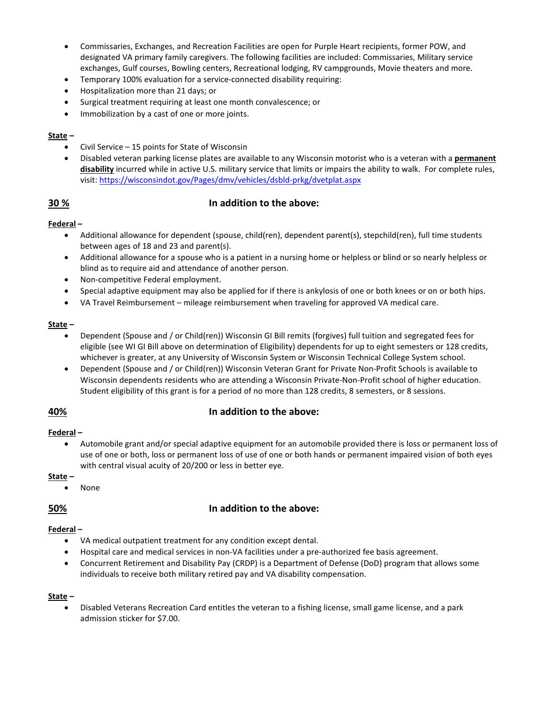- Commissaries, Exchanges, and Recreation Facilities are open for Purple Heart recipients, former POW, and designated VA primary family caregivers. The following facilities are included: Commissaries, Military service exchanges, Gulf courses, Bowling centers, Recreational lodging, RV campgrounds, Movie theaters and more.
- Temporary 100% evaluation for a service-connected disability requiring:
- Hospitalization more than 21 days; or
- Surgical treatment requiring at least one month convalescence; or
- Immobilization by a cast of one or more joints.

#### **State –**

- Civil Service 15 points for State of Wisconsin
- Disabled veteran parking license plates are available to any Wisconsin motorist who is a veteran with a **permanent disability** incurred while in active U.S. military service that limits or impairs the ability to walk. For complete rules, visit[: https://wisconsindot.gov/Pages/dmv/vehicles/dsbld-prkg/dvetplat.aspx](https://wisconsindot.gov/Pages/dmv/vehicles/dsbld-prkg/dvetplat.aspx)

### **30 % In addition to the above:**

#### **Federal –**

- Additional allowance for dependent (spouse, child(ren), dependent parent(s), stepchild(ren), full time students between ages of 18 and 23 and parent(s).
- Additional allowance for a spouse who is a patient in a nursing home or helpless or blind or so nearly helpless or blind as to require aid and attendance of another person.
- Non-competitive Federal employment.
- Special adaptive equipment may also be applied for if there is ankylosis of one or both knees or on or both hips.
- VA Travel Reimbursement mileage reimbursement when traveling for approved VA medical care.

#### **State –**

- Dependent (Spouse and / or Child(ren)) Wisconsin GI Bill remits (forgives) full tuition and segregated fees for eligible (see WI GI Bill above on determination of Eligibility) dependents for up to eight semesters or 128 credits, whichever is greater, at any University of Wisconsin System or Wisconsin Technical College System school.
- Dependent (Spouse and / or Child(ren)) Wisconsin Veteran Grant for Private Non-Profit Schools is available to Wisconsin dependents residents who are attending a Wisconsin Private-Non-Profit school of higher education. Student eligibility of this grant is for a period of no more than 128 credits, 8 semesters, or 8 sessions.

### **40% In addition to the above:**

#### **Federal –**

• Automobile grant and/or special adaptive equipment for an automobile provided there is loss or permanent loss of use of one or both, loss or permanent loss of use of one or both hands or permanent impaired vision of both eyes with central visual acuity of 20/200 or less in better eye.

#### **State –**

• None

### **50% In addition to the above:**

## **Federal –**

- VA medical outpatient treatment for any condition except dental.
- Hospital care and medical services in non-VA facilities under a pre-authorized fee basis agreement.
- Concurrent Retirement and Disability Pay (CRDP) is a Department of Defense (DoD) program that allows some individuals to receive both military retired pay and VA disability compensation.

#### **State –**

• Disabled Veterans Recreation Card entitles the veteran to a fishing license, small game license, and a park admission sticker for \$7.00.